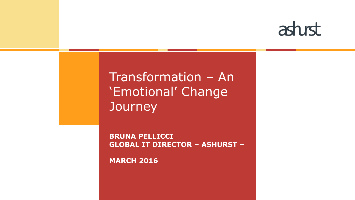## asturst

## Transformation – An 'Emotional' Change **Journey**

**BRUNA PELLICCI GLOBAL IT DIRECTOR – ASHURST –**

**MARCH 2016**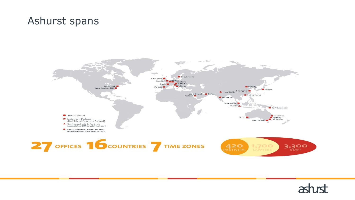#### Ashurst spans



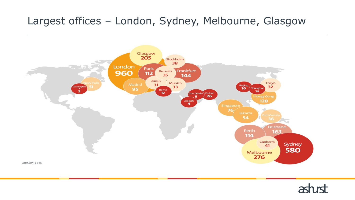### Largest offices – London, Sydney, Melbourne, Glasgow



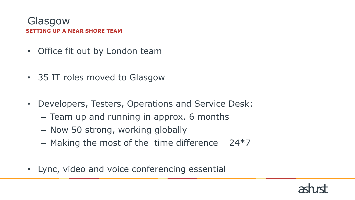- Office fit out by London team
- 35 IT roles moved to Glasgow
- Developers, Testers, Operations and Service Desk:
	- Team up and running in approx. 6 months
	- Now 50 strong, working globally
	- Making the most of the time difference  $24*7$
- Lync, video and voice conferencing essential

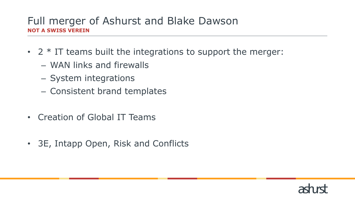#### **NOT A SWISS VEREIN** Full merger of Ashurst and Blake Dawson

- $2 * IT$  teams built the integrations to support the merger:
	- WAN links and firewalls
	- System integrations
	- Consistent brand templates
- Creation of Global IT Teams
- 3E, Intapp Open, Risk and Conflicts

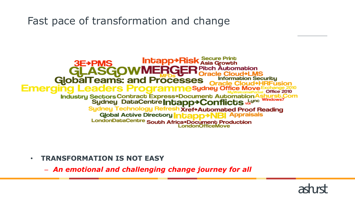### Fast pace of transformation and change

Intapp+Risk Secure Print 3E+PMS **GLASGOWMERGER** Pitch Aut<br>GlobalTeams: and Processes oracle **Emerging Leaders Programmesydney Office M** Industry Sectors Contract Express >Document Automation Assession Cycle Sydney DataCentre Intapp > Conflicts Sydney Technology Refresh Xref+Automated Proof Reading<br>Global Active Directory **Intapp+NBI** Appraisals LondonDataCentre South Africa+Document Production .ondonOfficeMove

- **TRANSFORMATION IS NOT EASY**
	- *An emotional and challenging change journey for all*

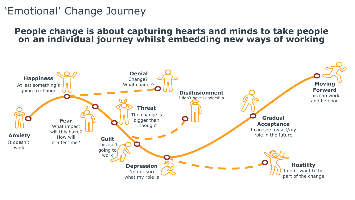## 'Emotional' Change Journey

#### **People change is about capturing hearts and minds to take people on an individual journey whilst embedding new ways of working**

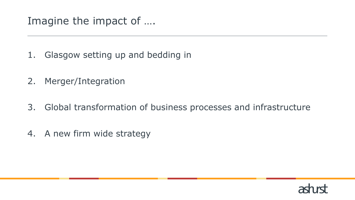- 1. Glasgow setting up and bedding in
- 2. Merger/Integration
- 3. Global transformation of business processes and infrastructure
- 4. A new firm wide strategy

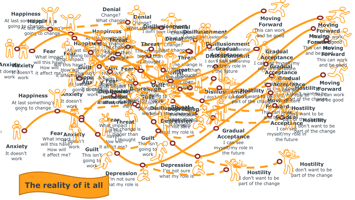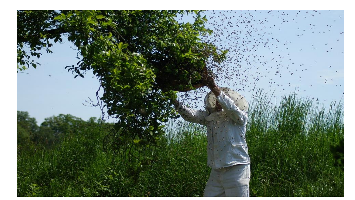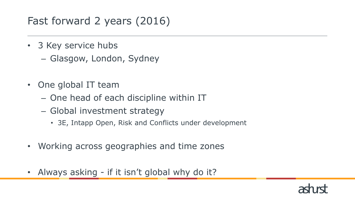## Fast forward 2 years (2016)

- 3 Key service hubs
	- Glasgow, London, Sydney
- One global IT team
	- One head of each discipline within IT
	- Global investment strategy
		- 3E, Intapp Open, Risk and Conflicts under development
- Working across geographies and time zones
- Always asking if it isn't global why do it?

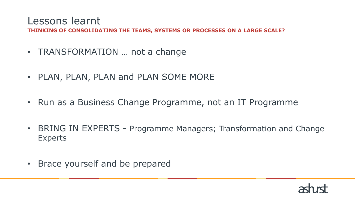#### Lessons learnt

**THINKING OF CONSOLIDATING THE TEAMS, SYSTEMS OR PROCESSES ON A LARGE SCALE?**

- TRANSFORMATION ... not a change
- PLAN, PLAN, PLAN and PLAN SOME MORE
- Run as a Business Change Programme, not an IT Programme
- BRING IN EXPERTS Programme Managers; Transformation and Change Experts
- Brace yourself and be prepared

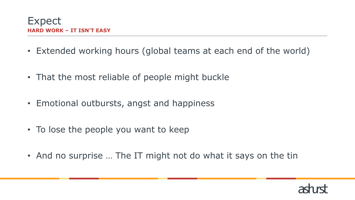- Extended working hours (global teams at each end of the world)
- That the most reliable of people might buckle
- Emotional outbursts, angst and happiness
- To lose the people you want to keep
- And no surprise … The IT might not do what it says on the tin

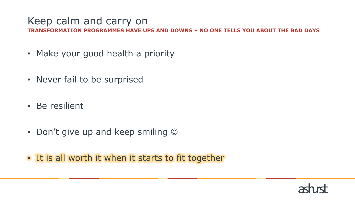## Keep calm and carry on

**TRANSFORMATION PROGRAMMES HAVE UPS AND DOWNS – NO ONE TELLS YOU ABOUT THE BAD DAYS**

- Make your good health a priority
- Never fail to be surprised
- Be resilient
- Don't give up and keep smiling  $\odot$
- It is all worth it when it starts to fit together

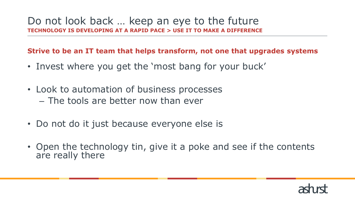#### **TECHNOLOGY IS DEVELOPING AT A RAPID PACE > USE IT TO MAKE A DIFFERENCE** Do not look back … keep an eye to the future

#### **Strive to be an IT team that helps transform, not one that upgrades systems**

- Invest where you get the 'most bang for your buck'
- Look to automation of business processes – The tools are better now than ever
- Do not do it just because everyone else is
- Open the technology tin, give it a poke and see if the contents are really there

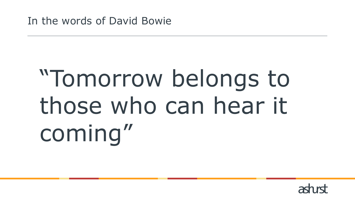# "Tomorrow belongs to those who can hear it coming"

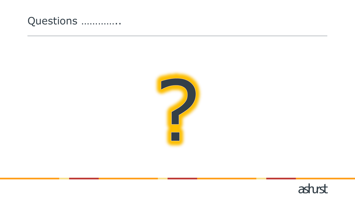## Questions ..............